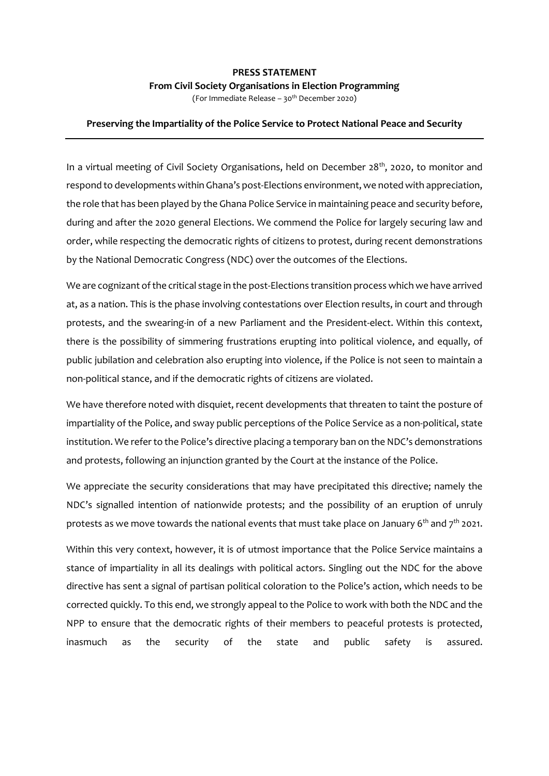## **PRESS STATEMENT From Civil Society Organisations in Election Programming**

(For Immediate Release – 30 th December 2020)

## **Preserving the Impartiality of the Police Service to Protect National Peace and Security**

In a virtual meeting of Civil Society Organisations, held on December 28<sup>th</sup>, 2020, to monitor and respond to developments within Ghana's post-Elections environment, we noted with appreciation, the role that has been played by the Ghana Police Service in maintaining peace and security before, during and after the 2020 general Elections. We commend the Police for largely securing law and order, while respecting the democratic rights of citizens to protest, during recent demonstrations by the National Democratic Congress (NDC) over the outcomes of the Elections.

We are cognizant of the critical stage in the post-Elections transition process which we have arrived at, as a nation. This is the phase involving contestations over Election results, in court and through protests, and the swearing-in of a new Parliament and the President-elect. Within this context, there is the possibility of simmering frustrations erupting into political violence, and equally, of public jubilation and celebration also erupting into violence, if the Police is not seen to maintain a non-political stance, and if the democratic rights of citizens are violated.

We have therefore noted with disquiet, recent developments that threaten to taint the posture of impartiality of the Police, and sway public perceptions of the Police Service as a non-political, state institution. We refer to the Police's directive placing a temporary ban on the NDC's demonstrations and protests, following an injunction granted by the Court at the instance of the Police.

We appreciate the security considerations that may have precipitated this directive; namely the NDC's signalled intention of nationwide protests; and the possibility of an eruption of unruly protests as we move towards the national events that must take place on January  $6<sup>th</sup>$  and  $7<sup>th</sup>$  2021.

Within this very context, however, it is of utmost importance that the Police Service maintains a stance of impartiality in all its dealings with political actors. Singling out the NDC for the above directive has sent a signal of partisan political coloration to the Police's action, which needs to be corrected quickly. To this end, we strongly appeal to the Police to work with both the NDC and the NPP to ensure that the democratic rights of their members to peaceful protests is protected, inasmuch as the security of the state and public safety is assured.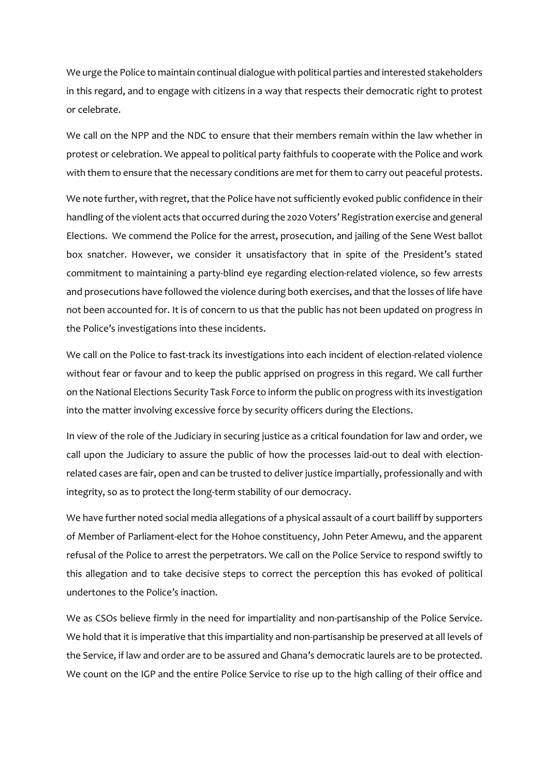We urge the Police to maintain continual dialogue with political parties and interested stakeholders in this regard, and to engage with citizens in a way that respects their democratic right to protest or celebrate.

We call on the NPP and the NDC to ensure that their members remain within the law whether in protest or celebration. We appeal to political party faithfuls to cooperate with the Police and work with them to ensure that the necessary conditions are met for them to carry out peaceful protests.

We note further, with regret, that the Police have not sufficiently evoked public confidence in their handling of the violent acts that occurred during the 2020 Voters' Registration exercise and general Elections. We commend the Police for the arrest, prosecution, and jailing of the Sene West ballot box snatcher. However, we consider it unsatisfactory that in spite of the President's stated commitment to maintaining a party-blind eye regarding election-related violence, so few arrests and prosecutions have followed the violence during both exercises, and that the losses of life have not been accounted for. It is of concern to us that the public has not been updated on progress in the Police's investigations into these incidents.

We call on the Police to fast-track its investigations into each incident of election-related violence without fear or favour and to keep the public apprised on progress in this regard. We call further on the National Elections Security Task Force to inform the public on progress with its investigation into the matter involving excessive force by security officers during the Elections.

In view of the role of the Judiciary in securing justice as a critical foundation for law and order, we call upon the Judiciary to assure the public of how the processes laid-out to deal with electionrelated cases are fair, open and can be trusted to deliver justice impartially, professionally and with integrity, so as to protect the long-term stability of our democracy.

We have further noted social media allegations of a physical assault of a court bailiff by supporters of Member of Parliament-elect for the Hohoe constituency, John Peter Amewu, and the apparent refusal of the Police to arrest the perpetrators. We call on the Police Service to respond swiftly to this allegation and to take decisive steps to correct the perception this has evoked of political undertones to the Police's inaction.

We as CSOs believe firmly in the need for impartiality and non-partisanship of the Police Service. We hold that it is imperative that this impartiality and non-partisanship be preserved at all levels of the Service, if law and order are to be assured and Ghana's democratic laurels are to be protected. We count on the IGP and the entire Police Service to rise up to the high calling of their office and